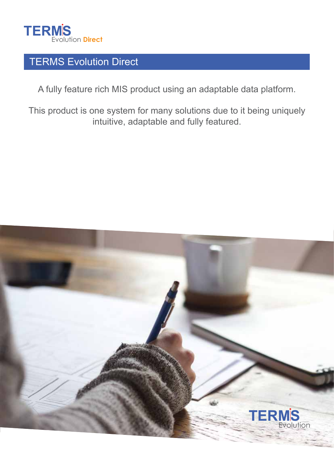

# TERMS Evolution Direct

A fully feature rich MIS product using an adaptable data platform.

This product is one system for many solutions due to it being uniquely intuitive, adaptable and fully featured.

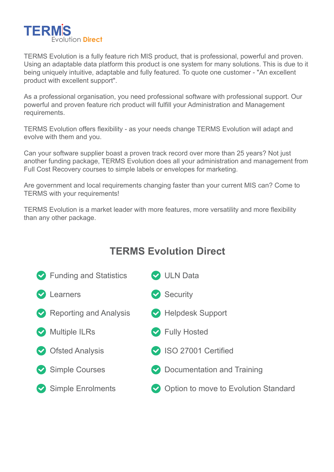

TERMS Evolution is a fully feature rich MIS product, that is professional, powerful and proven. Using an adaptable data platform this product is one system for many solutions. This is due to it being uniquely intuitive, adaptable and fully featured. To quote one customer - "An excellent product with excellent support".

As a professional organisation, you need professional software with professional support. Our powerful and proven feature rich product will fulfill your Administration and Management requirements.

TERMS Evolution offers flexibility - as your needs change TERMS Evolution will adapt and evolve with them and you.

Can your software supplier boast a proven track record over more than 25 years? Not just another funding package, TERMS Evolution does all your administration and management from Full Cost Recovery courses to simple labels or envelopes for marketing.

Are government and local requirements changing faster than your current MIS can? Come to TERMS with your requirements!

TERMS Evolution is a market leader with more features, more versatility and more flexibility than any other package.

# **TERMS Evolution Direct**

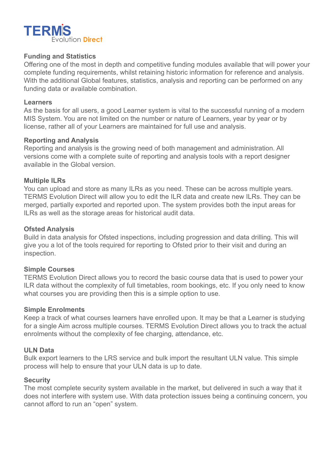

# **Funding and Statistics**

Offering one of the most in depth and competitive funding modules available that will power your complete funding requirements, whilst retaining historic information for reference and analysis. With the additional Global features, statistics, analysis and reporting can be performed on any funding data or available combination.

### **Learners**

As the basis for all users, a good Learner system is vital to the successful running of a modern MIS System. You are not limited on the number or nature of Learners, year by year or by license, rather all of your Learners are maintained for full use and analysis.

## **Reporting and Analysis**

Reporting and analysis is the growing need of both management and administration. All versions come with a complete suite of reporting and analysis tools with a report designer available in the Global version.

### **Multiple ILRs**

You can upload and store as many ILRs as you need. These can be across multiple years. TERMS Evolution Direct will allow you to edit the ILR data and create new ILRs. They can be merged, partially exported and reported upon. The system provides both the input areas for ILRs as well as the storage areas for historical audit data.

## **Ofsted Analysis**

Build in data analysis for Ofsted inspections, including progression and data drilling. This will give you a lot of the tools required for reporting to Ofsted prior to their visit and during an inspection.

## **Simple Courses**

TERMS Evolution Direct allows you to record the basic course data that is used to power your ILR data without the complexity of full timetables, room bookings, etc. If you only need to know what courses you are providing then this is a simple option to use.

#### **Simple Enrolments**

Keep a track of what courses learners have enrolled upon. It may be that a Learner is studying for a single Aim across multiple courses. TERMS Evolution Direct allows you to track the actual enrolments without the complexity of fee charging, attendance, etc.

## **ULN Data**

Bulk export learners to the LRS service and bulk import the resultant ULN value. This simple process will help to ensure that your ULN data is up to date.

#### **Security**

The most complete security system available in the market, but delivered in such a way that it does not interfere with system use. With data protection issues being a continuing concern, you cannot afford to run an "open" system.